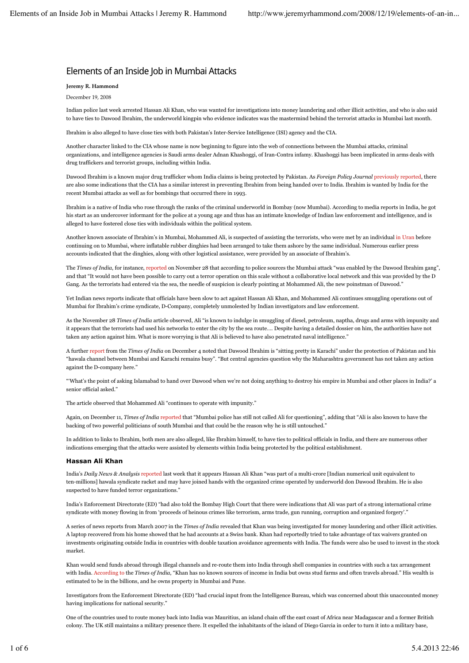# Elements of an Inside Job in Mumbai Attacks

# **Jeremy R. Hammond**

#### December 19, 2008

Indian police last week arrested Hassan Ali Khan, who was wanted for investigations into money laundering and other illicit activities, and who is also said to have ties to Dawood Ibrahim, the underworld kingpin who evidence indicates was the mastermind behind the terrorist attacks in Mumbai last month.

Ibrahim is also alleged to have close ties with both Pakistan's Inter-Service Intelligence (ISI) agency and the CIA.

Another character linked to the CIA whose name is now beginning to figure into the web of connections between the Mumbai attacks, criminal organizations, and intelligence agencies is Saudi arms dealer Adnan Khashoggi, of Iran-Contra infamy. Khashoggi has been implicated in arms deals with drug traffickers and terrorist groups, including within India.

Dawood Ibrahim is a known major drug trafficker whom India claims is being protected by Pakistan. As *Foreign Policy Journal* previously reported, there are also some indications that the CIA has a similar interest in preventing Ibrahim from being handed over to India. Ibrahim is wanted by India for the recent Mumbai attacks as well as for bombings that occurred there in 1993.

Ibrahim is a native of India who rose through the ranks of the criminal underworld in Bombay (now Mumbai). According to media reports in India, he got his start as an undercover informant for the police at a young age and thus has an intimate knowledge of Indian law enforcement and intelligence, and is alleged to have fostered close ties with individuals within the political system.

Another known associate of Ibrahim's in Mumbai, Mohammed Ali, is suspected of assisting the terrorists, who were met by an individual in Uran before continuing on to Mumbai, where inflatable rubber dinghies had been arranged to take them ashore by the same individual. Numerous earlier press accounts indicated that the dinghies, along with other logistical assistance, were provided by an associate of Ibrahim's.

The *Times of India*, for instance, reported on November 28 that according to police sources the Mumbai attack "was enabled by the Dawood Ibrahim gang", and that "It would not have been possible to carry out a terror operation on this scale without a collaborative local network and this was provided by the D Gang. As the terrorists had entered via the sea, the needle of suspicion is clearly pointing at Mohammed Ali, the new poinstman of Dawood."

Yet Indian news reports indicate that officials have been slow to act against Hassan Ali Khan, and Mohammed Ali continues smuggling operations out of Mumbai for Ibrahim's crime syndicate, D-Company, completely unmolested by Indian investigators and law enforcement.

As the November 28 *Times of India* article observed, Ali "is known to indulge in smuggling of diesel, petroleum, naptha, drugs and arms with impunity and it appears that the terrorists had used his networks to enter the city by the sea route…. Despite having a detailed dossier on him, the authorities have not taken any action against him. What is more worrying is that Ali is believed to have also penetrated naval intelligence."

A further report from the *Times of India* on December 4 noted that Dawood Ibrahim is "sitting pretty in Karachi" under the protection of Pakistan and his "hawala channel between Mumbai and Karachi remains busy". "But central agencies question why the Maharashtra government has not taken any action against the D-company here."

"'What's the point of asking Islamabad to hand over Dawood when we're not doing anything to destroy his empire in Mumbai and other places in India?' a senior official asked."

The article observed that Mohammed Ali "continues to operate with impunity."

Again, on December 11, *Times of India* reported that "Mumbai police has still not called Ali for questioning", adding that "Ali is also known to have the backing of two powerful politicians of south Mumbai and that could be the reason why he is still untouched."

In addition to links to Ibrahim, both men are also alleged, like Ibrahim himself, to have ties to political officials in India, and there are numerous other indications emerging that the attacks were assisted by elements within India being protected by the political establishment.

## **Hassan Ali Khan**

India's *Daily News & Analysis* reported last week that it appears Hassan Ali Khan "was part of a multi-crore [Indian numerical unit equivalent to ten-millions] hawala syndicate racket and may have joined hands with the organized crime operated by underworld don Dawood Ibrahim. He is also suspected to have funded terror organizations."

India's Enforcement Directorate (ED) "had also told the Bombay High Court that there were indications that Ali was part of a strong international crime syndicate with money flowing in from 'proceeds of heinous crimes like terrorism, arms trade, gun running, corruption and organized forgery'."

A series of news reports from March 2007 in the *Times of India* revealed that Khan was being investigated for money laundering and other illicit activities. A laptop recovered from his home showed that he had accounts at a Swiss bank. Khan had reportedly tried to take advantage of tax waivers granted on investments originating outside India in countries with double taxation avoidance agreements with India. The funds were also be used to invest in the stock market.

Khan would send funds abroad through illegal channels and re-route them into India through shell companies in countries with such a tax arrangement with India. According to the *Times of India*, "Khan has no known sources of income in India but owns stud farms and often travels abroad." His wealth is estimated to be in the billions, and he owns property in Mumbai and Pune.

Investigators from the Enforcement Directorate (ED) "had crucial input from the Intelligence Bureau, which was concerned about this unaccounted money having implications for national security."

One of the countries used to route money back into India was Mauritius, an island chain off the east coast of Africa near Madagascar and a former British colony. The UK still maintains a military presence there. It expelled the inhabitants of the island of Diego Garcia in order to turn it into a military base,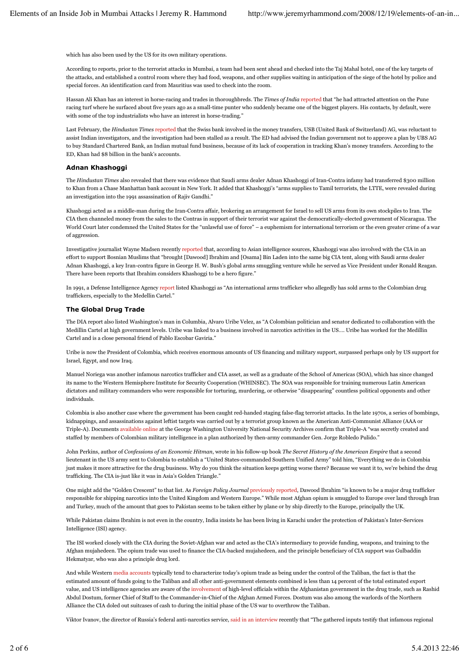which has also been used by the US for its own military operations.

According to reports, prior to the terrorist attacks in Mumbai, a team had been sent ahead and checked into the Taj Mahal hotel, one of the key targets of the attacks, and established a control room where they had food, weapons, and other supplies waiting in anticipation of the siege of the hotel by police and special forces. An identification card from Mauritius was used to check into the room.

Hassan Ali Khan has an interest in horse-racing and trades in thoroughbreds. The *Times of India* reported that "he had attracted attention on the Pune racing turf where he surfaced about five years ago as a small-time punter who suddenly became one of the biggest players. His contacts, by default, were with some of the top industrialists who have an interest in horse-trading."

Last February, the *Hindustan Times* reported that the Swiss bank involved in the money transfers, USB (United Bank of Switzerland) AG, was reluctant to assist Indian investigators, and the investigation had been stalled as a result. The ED had advised the Indian government not to approve a plan by UBS AG to buy Standard Chartered Bank, an Indian mutual fund business, because of its lack of cooperation in tracking Khan's money transfers. According to the ED, Khan had \$8 billion in the bank's accounts.

#### **Adnan Khashoggi**

The *Hindustan Times* also revealed that there was evidence that Saudi arms dealer Adnan Khashoggi of Iran-Contra infamy had transferred \$300 million to Khan from a Chase Manhattan bank account in New York. It added that Khashoggi's "arms supplies to Tamil terrorists, the LTTE, were revealed during an investigation into the 1991 assassination of Rajiv Gandhi."

Khashoggi acted as a middle-man during the Iran-Contra affair, brokering an arrangement for Israel to sell US arms from its own stockpiles to Iran. The CIA then channeled money from the sales to the Contras in support of their terrorist war against the democratically-elected government of Nicaragua. The World Court later condemned the United States for the "unlawful use of force" – a euphemism for international terrorism or the even greater crime of a war of aggression.

Investigative journalist Wayne Madsen recently reported that, according to Asian intelligence sources, Khashoggi was also involved with the CIA in an effort to support Bosnian Muslims that "brought [Dawood] Ibrahim and [Osama] Bin Laden into the same big CIA tent, along with Saudi arms dealer Adnan Khashoggi, a key Iran-contra figure in George H. W. Bush's global arms smuggling venture while he served as Vice President under Ronald Reagan. There have been reports that Ibrahim considers Khashoggi to be a hero figure."

In 1991, a Defense Intelligence Agency report listed Khashoggi as "An international arms trafficker who allegedly has sold arms to the Colombian drug traffickers, especially to the Medellin Cartel."

#### **The Global Drug Trade**

The DIA report also listed Washington's man in Columbia, Alvaro Uribe Velez, as "A Colombian politician and senator dedicated to collaboration with the Medillin Cartel at high government levels. Uribe was linked to a business involved in narcotics activities in the US…. Uribe has worked for the Medillin Cartel and is a close personal friend of Pablo Escobar Gaviria."

Uribe is now the President of Colombia, which receives enormous amounts of US financing and military support, surpassed perhaps only by US support for Israel, Egypt, and now Iraq.

Manuel Noriega was another infamous narcotics trafficker and CIA asset, as well as a graduate of the School of Americas (SOA), which has since changed its name to the Western Hemisphere Institute for Security Cooperation (WHINSEC). The SOA was responsible for training numerous Latin American dictators and military commanders who were responsible for torturing, murdering, or otherwise "disappearing" countless political opponents and other individuals.

Colombia is also another case where the government has been caught red-handed staging false-flag terrorist attacks. In the late 1970s, a series of bombings, kidnappings, and assassinations against leftist targets was carried out by a terrorist group known as the American Anti-Communist Alliance (AAA or Triple-A). Documents available online at the George Washington University National Security Archives confirm that Triple-A "was secretly created and staffed by members of Colombian military intelligence in a plan authorized by then-army commander Gen. Jorge Robledo Pulido."

John Perkins, author of *Confessions of an Economic Hitman*, wrote in his follow-up book *The Secret History of the American Empire* that a second lieutenant in the US army sent to Colombia to establish a "United States-commanded Southern Unified Army" told him, "Everything we do in Colombia just makes it more attractive for the drug business. Why do you think the situation keeps getting worse there? Because we want it to, we're behind the drug trafficking. The CIA is-just like it was in Asia's Golden Triangle."

One might add the "Golden Crescent" to that list. As *Foreign Policy Journal* previously reported, Dawood Ibrahim "is known to be a major drug trafficker responsible for shipping narcotics into the United Kingdom and Western Europe." While most Afghan opium is smuggled to Europe over land through Iran and Turkey, much of the amount that goes to Pakistan seems to be taken either by plane or by ship directly to the Europe, principally the UK.

While Pakistan claims Ibrahim is not even in the country, India insists he has been living in Karachi under the protection of Pakistan's Inter-Services Intelligence (ISI) agency.

The ISI worked closely with the CIA during the Soviet-Afghan war and acted as the CIA's intermediary to provide funding, weapons, and training to the Afghan mujahedeen. The opium trade was used to finance the CIA-backed mujahedeen, and the principle beneficiary of CIA support was Gulbaddin Hekmatyar, who was also a principle drug lord.

And while Western media accounts typically tend to characterize today's opium trade as being under the control of the Taliban, the fact is that the estimated amount of funds going to the Taliban and all other anti-government elements combined is less than 14 percent of the total estimated export value, and US intelligence agencies are aware of the involvement of high-level officials within the Afghanistan government in the drug trade, such as Rashid Abdul Dostum, former Chief of Staff to the Commander-in-Chief of the Afghan Armed Forces. Dostum was also among the warlords of the Northern Alliance the CIA doled out suitcases of cash to during the initial phase of the US war to overthrow the Taliban.

Viktor Ivanov, the director of Russia's federal anti-narcotics service, said in an interview recently that "The gathered inputs testify that infamous regional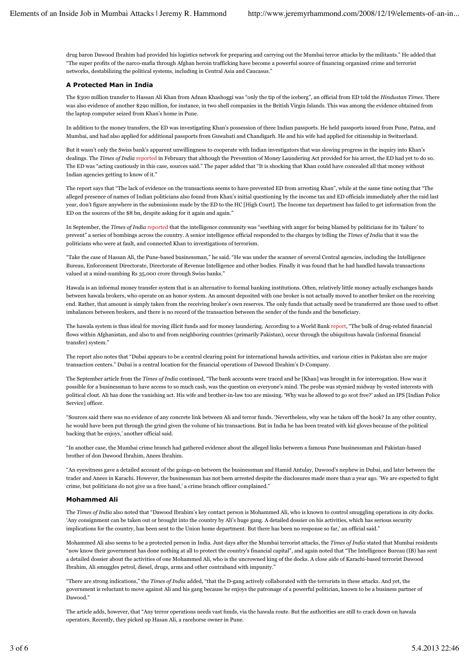drug baron Dawood Ibrahim had provided his logistics network for preparing and carrying out the Mumbai terror attacks by the militants." He added that "The super profits of the narco-mafia through Afghan heroin trafficking have become a powerful source of financing organized crime and terrorist networks, destabilizing the political systems, including in Central Asia and Caucasus."

## **A Protected Man in India**

The \$300 million transfer to Hassan Ali Khan from Adnan Khashoggi was "only the tip of the iceberg", an official from ED told the *Hindustan Times*. There was also evidence of another \$290 million, for instance, in two shell companies in the British Virgin Islands. This was among the evidence obtained from the laptop computer seized from Khan's home in Pune.

In addition to the money transfers, the ED was investigating Khan's possession of three Indian passports. He held passports issued from Pune, Patna, and Mumbai, and had also applied for additional passports from Guwahati and Chandigarh. He and his wife had applied for citizenship in Switzerland.

But it wasn't only the Swiss bank's apparent unwillingness to cooperate with Indian investigators that was slowing progress in the inquiry into Khan's dealings. The *Times of India* reported in February that although the Prevention of Money Laundering Act provided for his arrest, the ED had yet to do so. The ED was "acting cautiously in this case, sources said." The paper added that "It is shocking that Khan could have concealed all that money without Indian agencies getting to know of it."

The report says that "The lack of evidence on the transactions seems to have prevented ED from arresting Khan", while at the same time noting that "The alleged presence of names of Indian politicians also found from Khan's initial questioning by the income tax and ED officials immediately after the raid last year, don't figure anywhere in the submissions made by the ED to the HC [High Court]. The Income tax department has failed to get information from the ED on the sources of the \$8 bn, despite asking for it again and again."

In September, the *Times of India* reported that the intelligence community was "seething with anger for being blamed by politicians for its 'failure' to prevent" a series of bombings across the country. A senior intelligence official responded to the charges by telling the *Times of India* that it was the politicians who were at fault, and connected Khan to investigations of terrorism.

"Take the case of Hassan Ali, the Pune-based businessman," he said. "He was under the scanner of several Central agencies, including the Intelligence Bureau, Enforcement Directorate, Directorate of Revenue Intelligence and other bodies. Finally it was found that he had handled hawala transactions valued at a mind-numbing Rs 35,000 crore through Swiss banks."

Hawala is an informal money transfer system that is an alternative to formal banking institutions. Often, relatively little money actually exchanges hands between hawala brokers, who operate on an honor system. An amount deposited with one broker is not actually moved to another broker on the receiving end. Rather, that amount is simply taken from the receiving broker's own reserves. The only funds that actually need be transferred are those used to offset imbalances between brokers, and there is no record of the transaction between the sender of the funds and the beneficiary.

The hawala system is thus ideal for moving illicit funds and for money laundering. According to a World Bank report, "The bulk of drug-related financial flows within Afghanistan, and also to and from neighboring countries (primarily Pakistan), occur through the ubiquitous hawala (informal financial transfer) system."

The report also notes that "Dubai appears to be a central clearing point for international hawala activities, and various cities in Pakistan also are major transaction centers." Dubai is a central location for the financial operations of Dawood Ibrahim's D-Company.

The September article from the *Times of India* continued, "The bank accounts were traced and he [Khan] was brought in for interrogation. How was it possible for a businessman to have access to so much cash, was the question on everyone's mind. The probe was stymied midway by vested interests with political clout. Ali has done the vanishing act. His wife and brother-in-law too are missing. 'Why was he allowed to go scot free?' asked an IPS [Indian Police Service] officer.

"Sources said there was no evidence of any concrete link between Ali and terror funds. 'Nevertheless, why was he taken off the hook? In any other country, he would have been put through the grind given the volume of his transactions. But in India he has been treated with kid gloves because of the political backing that he enjoys,' another official said.

"In another case, the Mumbai crime branch had gathered evidence about the alleged links between a famous Pune businessman and Pakistan-based brother of don Dawood Ibrahim, Anees Ibrahim.

"An eyewitness gave a detailed account of the goings-on between the businessman and Hamid Antulay, Dawood's nephew in Dubai, and later between the trader and Anees in Karachi. However, the businessman has not been arrested despite the disclosures made more than a year ago. 'We are expected to fight crime, but politicians do not give us a free hand,' a crime branch officer complained."

#### **Mohammed Ali**

The *Times of India* also noted that "Dawood Ibrahim's key contact person is Mohammed Ali, who is known to control smuggling operations in city docks. 'Any consignment can be taken out or brought into the country by Ali's huge gang. A detailed dossier on his activities, which has serious security implications for the country, has been sent to the Union home department. But there has been no response so far,' an official said."

Mohammed Ali also seems to be a protected person in India. Just days after the Mumbai terrorist attacks, the *Times of India* stated that Mumbai residents "now know their government has done nothing at all to protect the country's financial capital", and again noted that "The Intelligence Bureau (IB) has sent a detailed dossier about the activities of one Mohammed Ali, who is the uncrowned king of the docks. A close aide of Karachi-based terrorist Dawood Ibrahim, Ali smuggles petrol, diesel, drugs, arms and other contraband with impunity."

"There are strong indications," the *Times of India* added, "that the D-gang actively collaborated with the terrorists in these attacks. And yet, the government is reluctant to move against Ali and his gang because he enjoys the patronage of a powerful politician, known to be a business partner of Dawood."

The article adds, however, that "Any terror operations needs vast funds, via the hawala route. But the authorities are still to crack down on hawala operators. Recently, they picked up Hasan Ali, a racehorse owner in Pune.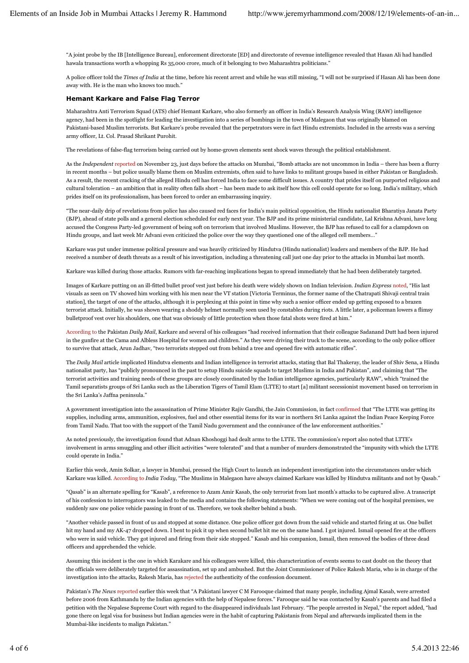"A joint probe by the IB [Intelligence Bureau], enforcement directorate [ED] and directorate of revenue intelligence revealed that Hasan Ali had handled hawala transactions worth a whopping Rs 35,000 crore, much of it belonging to two Maharashtra politicians."

A police officer told the *Times of India* at the time, before his recent arrest and while he was still missing, "I will not be surprised if Hasan Ali has been done away with. He is the man who knows too much."

#### **Hemant Karkare and False Flag Terror**

Maharashtra Anti Terrorism Squad (ATS) chief Hemant Karkare, who also formerly an officer in India's Research Analysis Wing (RAW) intelligence agency, had been in the spotlight for leading the investigation into a series of bombings in the town of Malegaon that was originally blamed on Pakistani-based Muslim terrorists. But Karkare's probe revealed that the perpetrators were in fact Hindu extremists. Included in the arrests was a serving army officer, Lt. Col. Prasad Shrikant Purohit.

The revelations of false-flag terrorism being carried out by home-grown elements sent shock waves through the political establishment.

As the *Independent* reported on November 23, just days before the attacks on Mumbai, "Bomb attacks are not uncommon in India – there has been a flurry in recent months – but police usually blame them on Muslim extremists, often said to have links to militant groups based in either Pakistan or Bangladesh. As a result, the recent cracking of the alleged Hindu cell has forced India to face some difficult issues. A country that prides itself on purported religious and cultural toleration – an ambition that in reality often falls short – has been made to ask itself how this cell could operate for so long. India's military, which prides itself on its professionalism, has been forced to order an embarrassing inquiry.

"The near-daily drip of revelations from police has also caused red faces for India's main political opposition, the Hindu nationalist Bharatiya Janata Party (BJP), ahead of state polls and a general election scheduled for early next year. The BJP and its prime ministerial candidate, Lal Krishna Advani, have long accused the Congress Party-led government of being soft on terrorism that involved Muslims. However, the BJP has refused to call for a clampdown on Hindu groups, and last week Mr Advani even criticized the police over the way they questioned one of the alleged cell members…"

Karkare was put under immense political pressure and was heavily criticized by Hindutva (Hindu nationalist) leaders and members of the BJP. He had received a number of death threats as a result of his investigation, including a threatening call just one day prior to the attacks in Mumbai last month.

Karkare was killed during those attacks. Rumors with far-reaching implications began to spread immediately that he had been deliberately targeted.

Images of Karkare putting on an ill-fitted bullet proof vest just before his death were widely shown on Indian television. *Indian Express* noted, "His last visuals as seen on TV showed him working with his men near the VT station [Victoria Terminus, the former name of the Chatrapati Shivaji central train station], the target of one of the attacks, although it is perplexing at this point in time why such a senior officer ended up getting exposed to a brazen terrorist attack. Initially, he was shown wearing a shoddy helmet normally seen used by constables during riots. A little later, a policeman lowers a flimsy bulletproof vest over his shoulders, one that was obviously of little protection when those fatal shots were fired at him."

According to the Pakistan *Daily Mail*, Karkare and several of his colleagues "had received information that their colleague Sadanand Dutt had been injured in the gunfire at the Cama and Albless Hospital for women and children." As they were driving their truck to the scene, according to the only police officer to survive that attack, Arun Jadhav, "two terrorists stepped out from behind a tree and opened fire with automatic rifles".

The *Daily Mail* article implicated Hindutva elements and Indian intelligence in terrorist attacks, stating that Bal Thakeray, the leader of Shiv Sena, a Hindu nationalist party, has "publicly pronounced in the past to setup Hindu suicide squads to target Muslims in India and Pakistan", and claiming that "The terrorist activities and training needs of these groups are closely coordinated by the Indian intelligence agencies, particularly RAW", which "trained the Tamil separatists groups of Sri Lanka such as the Liberation Tigers of Tamil Elam (LTTE) to start [a] militant secessionist movement based on terrorism in the Sri Lanka's Jaffna peninsula."

A government investigation into the assassination of Prime Minister Rajiv Gandhi, the Jain Commission, in fact confirmed that "The LTTE was getting its supplies, including arms, ammunition, explosives, fuel and other essential items for its war in northern Sri Lanka against the Indian Peace Keeping Force from Tamil Nadu. That too with the support of the Tamil Nadu government and the connivance of the law enforcement authorities."

As noted previously, the investigation found that Adnan Khoshoggi had dealt arms to the LTTE. The commission's report also noted that LTTE's involvement in arms smuggling and other illicit activities "were tolerated" and that a number of murders demonstrated the "impunity with which the LTTE could operate in India."

Earlier this week, Amin Solkar, a lawyer in Mumbai, pressed the High Court to launch an independent investigation into the circumstances under which Karkare was killed. According to *India Today*, "The Muslims in Malegaon have always claimed Karkare was killed by Hindutva militants and not by Qasab."

"Qasab" is an alternate spelling for "Kasab", a reference to Azam Amir Kasab, the only terrorist from last month's attacks to be captured alive. A transcript of his confession to interrogators was leaked to the media and contains the following statements: "When we were coming out of the hospital premises, we suddenly saw one police vehicle passing in front of us. Therefore, we took shelter behind a bush.

"Another vehicle passed in front of us and stopped at some distance. One police officer got down from the said vehicle and started firing at us. One bullet hit my hand and my AK-47 dropped down. I bent to pick it up when second bullet hit me on the same hand. I got injured. Ismail opened fire at the officers who were in said vehicle. They got injured and firing from their side stopped." Kasab and his companion, Ismail, then removed the bodies of three dead officers and apprehended the vehicle.

Assuming this incident is the one in which Karakare and his colleagues were killed, this characterization of events seems to cast doubt on the theory that the officials were deliberately targeted for assassination, set up and ambushed. But the Joint Commissioner of Police Rakesh Maria, who is in charge of the investigation into the attacks, Rakesh Maria, has rejected the authenticity of the confession document.

Pakistan's *The News* reported earlier this week that "A Pakistani lawyer C M Farooque claimed that many people, including Ajmal Kasab, were arrested before 2006 from Kathmandu by the Indian agencies with the help of Nepalese forces." Farooque said he was contacted by Kasab's parents and had filed a petition with the Nepalese Supreme Court with regard to the disappeared individuals last February. "The people arrested in Nepal," the report added, "had gone there on legal visa for business but Indian agencies were in the habit of capturing Pakistanis from Nepal and afterwards implicated them in the Mumbai-like incidents to malign Pakistan."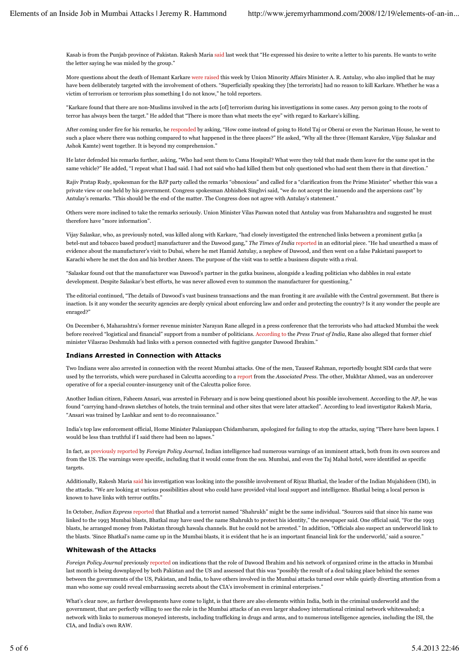Kasab is from the Punjab province of Pakistan. Rakesh Maria said last week that "He expressed his desire to write a letter to his parents. He wants to write the letter saying he was misled by the group."

More questions about the death of Hemant Karkare were raised this week by Union Minority Affairs Minister A. R. Antulay, who also implied that he may have been deliberately targeted with the involvement of others. "Superficially speaking they [the terrorists] had no reason to kill Karkare. Whether he was a victim of terrorism or terrorism plus something I do not know," he told reporters.

"Karkare found that there are non-Muslims involved in the acts [of] terrorism during his investigations in some cases. Any person going to the roots of terror has always been the target." He added that "There is more than what meets the eye" with regard to Karkare's killing.

After coming under fire for his remarks, he responded by asking, "How come instead of going to Hotel Taj or Oberai or even the Nariman House, he went to such a place where there was nothing compared to what happened in the three places?" He asked, "Why all the three (Hemant Karakre, Vijay Salaskar and Ashok Kamte) went together. It is beyond my comprehension."

He later defended his remarks further, asking, "Who had sent them to Cama Hospital? What were they told that made them leave for the same spot in the same vehicle?" He added, "I repeat what I had said. I had not said who had killed them but only questioned who had sent them there in that direction."

Rajiv Pratap Rudy, spokesman for the BJP party called the remarks "obnoxious" and called for a "clarification from the Prime Minister" whether this was a private view or one held by his government. Congress spokesman Abhishek Singhvi said, "we do not accept the innuendo and the aspersions cast" by Antulay's remarks. "This should be the end of the matter. The Congress does not agree with Antulay's statement."

Others were more inclined to take the remarks seriously. Union Minister Vilas Paswan noted that Antulay was from Maharashtra and suggested he must therefore have "more information".

Vijay Salaskar, who, as previously noted, was killed along with Karkare, "had closely investigated the entrenched links between a prominent gutka [a betel-nut and tobacco based product] manufacturer and the Dawood gang," *The Times of India* reported in an editorial piece. "He had unearthed a mass of evidence about the manufacturer's visit to Dubai, where he met Hamid Antulay, a nephew of Dawood, and then went on a false Pakistani passport to Karachi where he met the don and his brother Anees. The purpose of the visit was to settle a business dispute with a rival.

"Salaskar found out that the manufacturer was Dawood's partner in the gutka business, alongside a leading politician who dabbles in real estate development. Despite Salaskar's best efforts, he was never allowed even to summon the manufacturer for questioning."

The editorial continued, "The details of Dawood's vast business transactions and the man fronting it are available with the Central government. But there is inaction. Is it any wonder the security agencies are deeply cynical about enforcing law and order and protecting the country? Is it any wonder the people are enraged?"

On December 6, Maharashtra's former revenue minister Narayan Rane alleged in a press conference that the terrorists who had attacked Mumbai the week before received "logistical and financial" support from a number of politicians. According to the *Press Trust of India*, Rane also alleged that former chief minister Vilasrao Deshmukh had links with a person connected with fugitive gangster Dawood Ibrahim."

## **Indians Arrested in Connection with Attacks**

Two Indians were also arrested in connection with the recent Mumbai attacks. One of the men, Tauseef Rahman, reportedly bought SIM cards that were used by the terrorists, which were purchased in Calcutta according to a report from the *Associated Press*. The other, Mukhtar Ahmed, was an undercover operative of for a special counter-insurgency unit of the Calcutta police force.

Another Indian citizen, Faheem Ansari, was arrested in February and is now being questioned about his possible involvement. According to the AP, he was found "carrying hand-drawn sketches of hotels, the train terminal and other sites that were later attacked". According to lead investigator Rakesh Maria, "Ansari was trained by Lashkar and sent to do reconnaissance."

India's top law enforcement official, Home Minister Palaniappan Chidambaram, apologized for failing to stop the attacks, saying "There have been lapses. I would be less than truthful if I said there had been no lapses."

In fact, as previously reported by *Foreign Policy Journal*, Indian intelligence had numerous warnings of an imminent attack, both from its own sources and from the US. The warnings were specific, including that it would come from the sea. Mumbai, and even the Taj Mahal hotel, were identified as specific targets.

Additionally, Rakesh Maria said his investigation was looking into the possible involvement of Riyaz Bhatkal, the leader of the Indian Mujahideen (IM), in the attacks. "We are looking at various possibilities about who could have provided vital local support and intelligence. Bhatkal being a local person is known to have links with terror outfits."

In October, *Indian Express* reported that Bhatkal and a terrorist named "Shahrukh" might be the same individual. "Sources said that since his name was linked to the 1993 Mumbai blasts, Bhatkal may have used the name Shahrukh to protect his identity," the newspaper said. One official said, "For the 1993 blasts, he arranged money from Pakistan through hawala channels. But he could not be arrested." In addition, "Officials also suspect an underworld link to the blasts. 'Since Bhatkal's name came up in the Mumbai blasts, it is evident that he is an important financial link for the underworld,' said a source."

## **Whitewash of the Attacks**

*Foreign Policy Journal* previously reported on indications that the role of Dawood Ibrahim and his network of organized crime in the attacks in Mumbai last month is being downplayed by both Pakistan and the US and assessed that this was "possibly the result of a deal taking place behind the scenes between the governments of the US, Pakistan, and India, to have others involved in the Mumbai attacks turned over while quietly diverting attention from a man who some say could reveal embarrassing secrets about the CIA's involvement in criminal enterprises."

What's clear now, as further developments have come to light, is that there are also elements within India, both in the criminal underworld and the government, that are perfectly willing to see the role in the Mumbai attacks of an even larger shadowy international criminal network whitewashed; a network with links to numerous moneyed interests, including trafficking in drugs and arms, and to numerous intelligence agencies, including the ISI, the CIA, and India's own RAW.